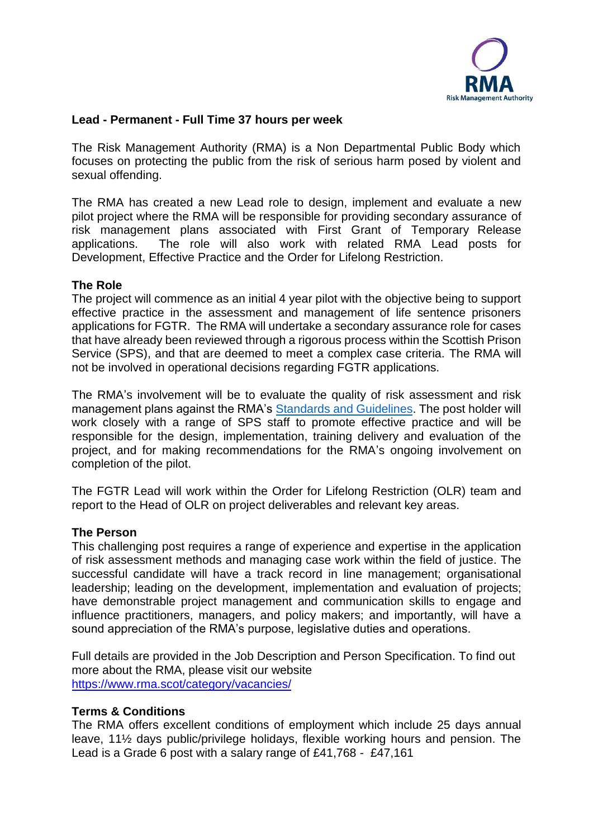

## **Lead - Permanent - Full Time 37 hours per week**

The Risk Management Authority (RMA) is a Non Departmental Public Body which focuses on protecting the public from the risk of serious harm posed by violent and sexual offending.

The RMA has created a new Lead role to design, implement and evaluate a new pilot project where the RMA will be responsible for providing secondary assurance of risk management plans associated with First Grant of Temporary Release applications. The role will also work with related RMA Lead posts for Development, Effective Practice and the Order for Lifelong Restriction.

### **The Role**

The project will commence as an initial 4 year pilot with the objective being to support effective practice in the assessment and management of life sentence prisoners applications for FGTR. The RMA will undertake a secondary assurance role for cases that have already been reviewed through a rigorous process within the Scottish Prison Service (SPS), and that are deemed to meet a complex case criteria. The RMA will not be involved in operational decisions regarding FGTR applications.

The RMA's involvement will be to evaluate the quality of risk assessment and risk management plans against the RMA's [Standards and Guidelines.](https://www.rma.scot/standards-guidelines/) The post holder will work closely with a range of SPS staff to promote effective practice and will be responsible for the design, implementation, training delivery and evaluation of the project, and for making recommendations for the RMA's ongoing involvement on completion of the pilot.

The FGTR Lead will work within the Order for Lifelong Restriction (OLR) team and report to the Head of OLR on project deliverables and relevant key areas.

#### **The Person**

This challenging post requires a range of experience and expertise in the application of risk assessment methods and managing case work within the field of justice. The successful candidate will have a track record in line management; organisational leadership; leading on the development, implementation and evaluation of projects; have demonstrable project management and communication skills to engage and influence practitioners, managers, and policy makers; and importantly, will have a sound appreciation of the RMA's purpose, legislative duties and operations.

Full details are provided in the Job Description and Person Specification. To find out more about the RMA, please visit our website <https://www.rma.scot/category/vacancies/>

#### **Terms & Conditions**

The RMA offers excellent conditions of employment which include 25 days annual leave, 11½ days public/privilege holidays, flexible working hours and pension. The Lead is a Grade 6 post with a salary range of £41,768 - £47,161